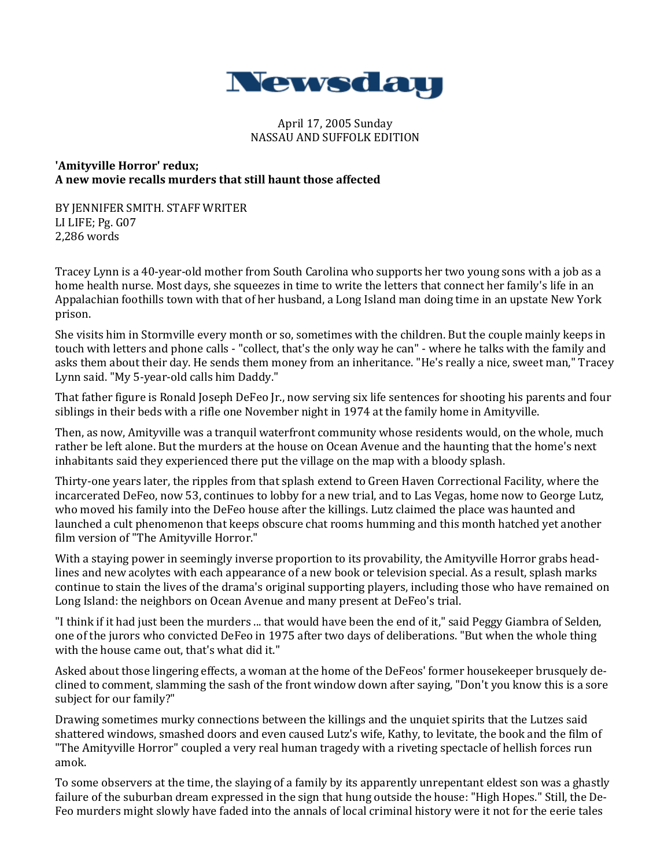

### April 17, 2005 Sunday NASSAU AND SUFFOLK EDITION

### **'Amityville Horror' redux; A new movie recalls murders that still haunt those affected**

BY JENNIFER SMITH. STAFF WRITER LI LIFE; Pg. G07 2,286 words

Tracey Lynn is a 40-year-old mother from South Carolina who supports her two young sons with a job as a home health nurse. Most days, she squeezes in time to write the letters that connect her family's life in an Appalachian foothills town with that of her husband, a Long Island man doing time in an upstate New York prison.

She visits him in Stormville every month or so, sometimes with the children. But the couple mainly keeps in touch with letters and phone calls - "collect, that's the only way he can" - where he talks with the family and asks them about their day. He sends them money from an inheritance. "He's really a nice, sweet man," Tracey Lynn said. "My 5-year-old calls him Daddy."

That father figure is Ronald Joseph DeFeo Jr., now serving six life sentences for shooting his parents and four siblings in their beds with a rifle one November night in 1974 at the family home in Amityville.

Then, as now, Amityville was a tranquil waterfront community whose residents would, on the whole, much rather be left alone. But the murders at the house on Ocean Avenue and the haunting that the home's next inhabitants said they experienced there put the village on the map with a bloody splash.

Thirty-one years later, the ripples from that splash extend to Green Haven Correctional Facility, where the incarcerated DeFeo, now 53, continues to lobby for a new trial, and to Las Vegas, home now to George Lutz, who moved his family into the DeFeo house after the killings. Lutz claimed the place was haunted and launched a cult phenomenon that keeps obscure chat rooms humming and this month hatched yet another film version of "The Amityville Horror."

With a staying power in seemingly inverse proportion to its provability, the Amityville Horror grabs headlines and new acolytes with each appearance of a new book or television special. As a result, splash marks continue to stain the lives of the drama's original supporting players, including those who have remained on Long Island: the neighbors on Ocean Avenue and many present at DeFeo's trial.

"I think if it had just been the murders ... that would have been the end of it," said Peggy Giambra of Selden, one of the jurors who convicted DeFeo in 1975 after two days of deliberations. "But when the whole thing with the house came out, that's what did it."

Asked about those lingering effects, a woman at the home of the DeFeos' former housekeeper brusquely declined to comment, slamming the sash of the front window down after saying, "Don't you know this is a sore subject for our family?"

Drawing sometimes murky connections between the killings and the unquiet spirits that the Lutzes said shattered windows, smashed doors and even caused Lutz's wife, Kathy, to levitate, the book and the film of "The Amityville Horror" coupled a very real human tragedy with a riveting spectacle of hellish forces run amok.

To some observers at the time, the slaying of a family by its apparently unrepentant eldest son was a ghastly failure of the suburban dream expressed in the sign that hung outside the house: "High Hopes." Still, the De-Feo murders might slowly have faded into the annals of local criminal history were it not for the eerie tales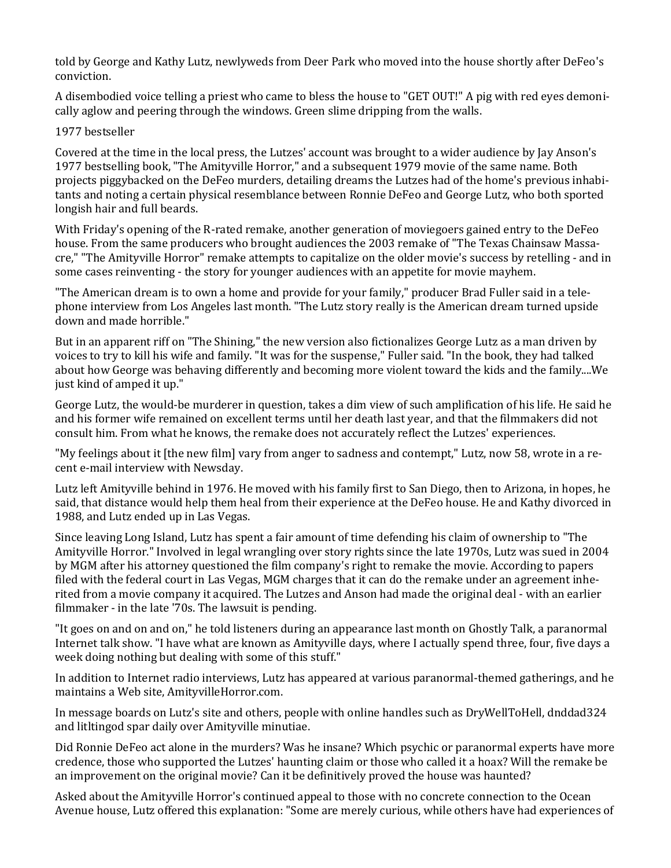told by George and Kathy Lutz, newlyweds from Deer Park who moved into the house shortly after DeFeo's conviction.

A disembodied voice telling a priest who came to bless the house to "GET OUT!" A pig with red eyes demonically aglow and peering through the windows. Green slime dripping from the walls.

# 1977 bestseller

Covered at the time in the local press, the Lutzes' account was brought to a wider audience by Jay Anson's 1977 bestselling book, "The Amityville Horror," and a subsequent 1979 movie of the same name. Both projects piggybacked on the DeFeo murders, detailing dreams the Lutzes had of the home's previous inhabitants and noting a certain physical resemblance between Ronnie DeFeo and George Lutz, who both sported longish hair and full beards.

With Friday's opening of the R-rated remake, another generation of moviegoers gained entry to the DeFeo house. From the same producers who brought audiences the 2003 remake of "The Texas Chainsaw Massacre," "The Amityville Horror" remake attempts to capitalize on the older movie's success by retelling - and in some cases reinventing - the story for younger audiences with an appetite for movie mayhem.

"The American dream is to own a home and provide for your family," producer Brad Fuller said in a telephone interview from Los Angeles last month. "The Lutz story really is the American dream turned upside down and made horrible."

But in an apparent riff on "The Shining," the new version also fictionalizes George Lutz as a man driven by voices to try to kill his wife and family. "It was for the suspense," Fuller said. "In the book, they had talked about how George was behaving differently and becoming more violent toward the kids and the family....We just kind of amped it up."

George Lutz, the would-be murderer in question, takes a dim view of such amplification of his life. He said he and his former wife remained on excellent terms until her death last year, and that the filmmakers did not consult him. From what he knows, the remake does not accurately reflect the Lutzes' experiences.

"My feelings about it [the new film] vary from anger to sadness and contempt," Lutz, now 58, wrote in a recent e-mail interview with Newsday.

Lutz left Amityville behind in 1976. He moved with his family first to San Diego, then to Arizona, in hopes, he said, that distance would help them heal from their experience at the DeFeo house. He and Kathy divorced in 1988, and Lutz ended up in Las Vegas.

Since leaving Long Island, Lutz has spent a fair amount of time defending his claim of ownership to "The Amityville Horror." Involved in legal wrangling over story rights since the late 1970s, Lutz was sued in 2004 by MGM after his attorney questioned the film company's right to remake the movie. According to papers filed with the federal court in Las Vegas, MGM charges that it can do the remake under an agreement inherited from a movie company it acquired. The Lutzes and Anson had made the original deal - with an earlier filmmaker - in the late '70s. The lawsuit is pending.

"It goes on and on and on," he told listeners during an appearance last month on Ghostly Talk, a paranormal Internet talk show. "I have what are known as Amityville days, where I actually spend three, four, five days a week doing nothing but dealing with some of this stuff."

In addition to Internet radio interviews, Lutz has appeared at various paranormal-themed gatherings, and he maintains a Web site, AmityvilleHorror.com.

In message boards on Lutz's site and others, people with online handles such as DryWellToHell, dnddad324 and litltingod spar daily over Amityville minutiae.

Did Ronnie DeFeo act alone in the murders? Was he insane? Which psychic or paranormal experts have more credence, those who supported the Lutzes' haunting claim or those who called it a hoax? Will the remake be an improvement on the original movie? Can it be definitively proved the house was haunted?

Asked about the Amityville Horror's continued appeal to those with no concrete connection to the Ocean Avenue house, Lutz offered this explanation: "Some are merely curious, while others have had experiences of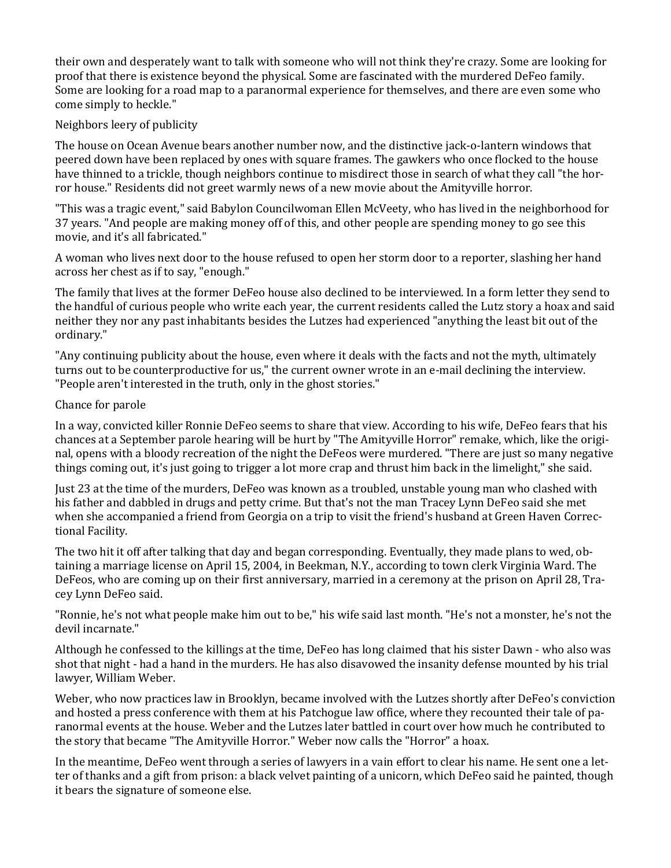their own and desperately want to talk with someone who will not think they're crazy. Some are looking for proof that there is existence beyond the physical. Some are fascinated with the murdered DeFeo family. Some are looking for a road map to a paranormal experience for themselves, and there are even some who come simply to heckle."

# Neighbors leery of publicity

The house on Ocean Avenue bears another number now, and the distinctive jack-o-lantern windows that peered down have been replaced by ones with square frames. The gawkers who once flocked to the house have thinned to a trickle, though neighbors continue to misdirect those in search of what they call "the horror house." Residents did not greet warmly news of a new movie about the Amityville horror.

"This was a tragic event," said Babylon Councilwoman Ellen McVeety, who has lived in the neighborhood for 37 years. "And people are making money off of this, and other people are spending money to go see this movie, and it's all fabricated."

A woman who lives next door to the house refused to open her storm door to a reporter, slashing her hand across her chest as if to say, "enough."

The family that lives at the former DeFeo house also declined to be interviewed. In a form letter they send to the handful of curious people who write each year, the current residents called the Lutz story a hoax and said neither they nor any past inhabitants besides the Lutzes had experienced "anything the least bit out of the ordinary."

"Any continuing publicity about the house, even where it deals with the facts and not the myth, ultimately turns out to be counterproductive for us," the current owner wrote in an e-mail declining the interview. "People aren't interested in the truth, only in the ghost stories."

# Chance for parole

In a way, convicted killer Ronnie DeFeo seems to share that view. According to his wife, DeFeo fears that his chances at a September parole hearing will be hurt by "The Amityville Horror" remake, which, like the original, opens with a bloody recreation of the night the DeFeos were murdered. "There are just so many negative things coming out, it's just going to trigger a lot more crap and thrust him back in the limelight," she said.

Just 23 at the time of the murders, DeFeo was known as a troubled, unstable young man who clashed with his father and dabbled in drugs and petty crime. But that's not the man Tracey Lynn DeFeo said she met when she accompanied a friend from Georgia on a trip to visit the friend's husband at Green Haven Correctional Facility.

The two hit it off after talking that day and began corresponding. Eventually, they made plans to wed, obtaining a marriage license on April 15, 2004, in Beekman, N.Y., according to town clerk Virginia Ward. The DeFeos, who are coming up on their first anniversary, married in a ceremony at the prison on April 28, Tracey Lynn DeFeo said.

"Ronnie, he's not what people make him out to be," his wife said last month. "He's not a monster, he's not the devil incarnate."

Although he confessed to the killings at the time, DeFeo has long claimed that his sister Dawn - who also was shot that night - had a hand in the murders. He has also disavowed the insanity defense mounted by his trial lawyer, William Weber.

Weber, who now practices law in Brooklyn, became involved with the Lutzes shortly after DeFeo's conviction and hosted a press conference with them at his Patchogue law office, where they recounted their tale of paranormal events at the house. Weber and the Lutzes later battled in court over how much he contributed to the story that became "The Amityville Horror." Weber now calls the "Horror" a hoax.

In the meantime, DeFeo went through a series of lawyers in a vain effort to clear his name. He sent one a letter of thanks and a gift from prison: a black velvet painting of a unicorn, which DeFeo said he painted, though it bears the signature of someone else.